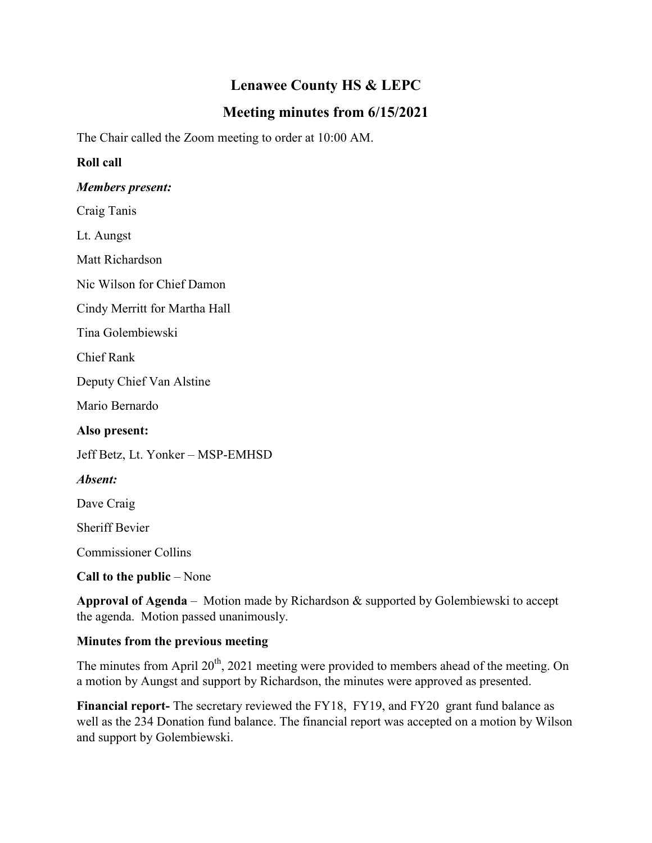# **Lenawee County HS & LEPC**

# **Meeting minutes from 6/15/2021**

The Chair called the Zoom meeting to order at 10:00 AM.

### **Roll call**

### *Members present:*

Craig Tanis

Lt. Aungst

Matt Richardson

Nic Wilson for Chief Damon

Cindy Merritt for Martha Hall

Tina Golembiewski

Chief Rank

Deputy Chief Van Alstine

Mario Bernardo

**Also present:**

Jeff Betz, Lt. Yonker – MSP-EMHSD

### *Absent:*

Dave Craig

Sheriff Bevier

Commissioner Collins

**Call to the public** – None

**Approval of Agenda** – Motion made by Richardson & supported by Golembiewski to accept the agenda. Motion passed unanimously.

### **Minutes from the previous meeting**

The minutes from April  $20<sup>th</sup>$ , 2021 meeting were provided to members ahead of the meeting. On a motion by Aungst and support by Richardson, the minutes were approved as presented.

**Financial report-** The secretary reviewed the FY18, FY19, and FY20 grant fund balance as well as the 234 Donation fund balance. The financial report was accepted on a motion by Wilson and support by Golembiewski.